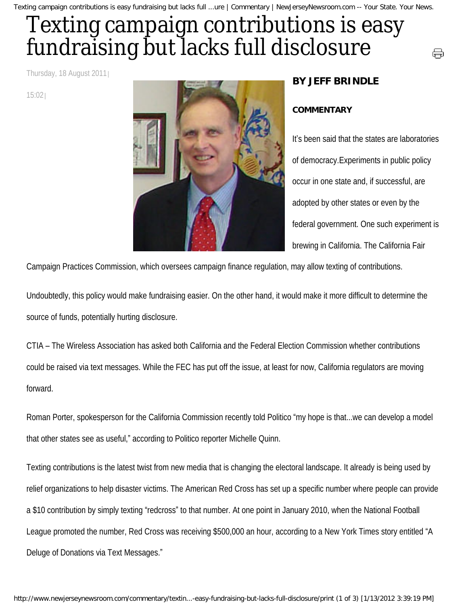Texting campaign contributions is easy fundraising but lacks full ...ure | Commentary | NewJerseyNewsroom.com -- Your State. Your News.

## Texting campaign contributions is easy fundraising but lacks full disclosure

Thursday, 18 August 2011

15:02



## **BY JEFF BRINDLE**

## **COMMENTARY**

It's been said that the states are laboratories of democracy.Experiments in public policy occur in one state and, if successful, are adopted by other states or even by the federal government. One such experiment is brewing in California. The California Fair

⊖

Campaign Practices Commission, which oversees campaign finance regulation, may allow texting of contributions.

Undoubtedly, this policy would make fundraising easier. On the other hand, it would make it more difficult to determine the source of funds, potentially hurting disclosure.

CTIA – The Wireless Association has asked both California and the Federal Election Commission whether contributions could be raised via text messages. While the FEC has put off the issue, at least for now, California regulators are moving forward.

Roman Porter, spokesperson for the California Commission recently told Politico "my hope is that...we can develop a model that other states see as useful," according to Politico reporter Michelle Quinn.

Texting contributions is the latest twist from new media that is changing the electoral landscape. It already is being used by relief organizations to help disaster victims. The American Red Cross has set up a specific number where people can provide a \$10 contribution by simply texting "redcross" to that number. At one point in January 2010, when the National Football League promoted the number, Red Cross was receiving \$500,000 an hour, according to a New York Times story entitled "A Deluge of Donations via Text Messages."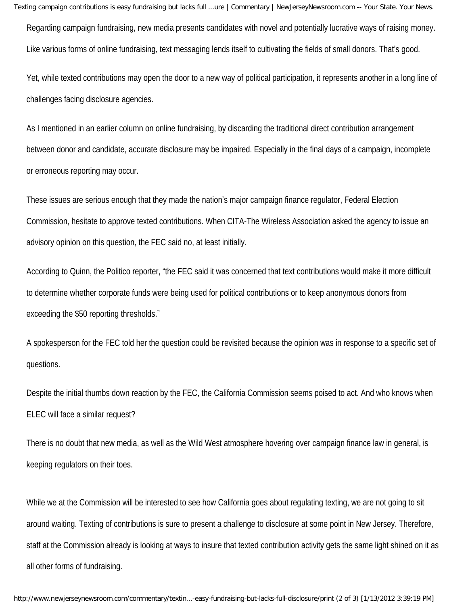Texting campaign contributions is easy fundraising but lacks full ...ure | Commentary | NewJerseyNewsroom.com -- Your State. Your News.

Regarding campaign fundraising, new media presents candidates with novel and potentially lucrative ways of raising money. Like various forms of online fundraising, text messaging lends itself to cultivating the fields of small donors. That's good.

Yet, while texted contributions may open the door to a new way of political participation, it represents another in a long line of challenges facing disclosure agencies.

As I mentioned in an earlier column on online fundraising, by discarding the traditional direct contribution arrangement between donor and candidate, accurate disclosure may be impaired. Especially in the final days of a campaign, incomplete or erroneous reporting may occur.

These issues are serious enough that they made the nation's major campaign finance regulator, Federal Election Commission, hesitate to approve texted contributions. When CITA-The Wireless Association asked the agency to issue an advisory opinion on this question, the FEC said no, at least initially.

According to Quinn, the Politico reporter, "the FEC said it was concerned that text contributions would make it more difficult to determine whether corporate funds were being used for political contributions or to keep anonymous donors from exceeding the \$50 reporting thresholds."

A spokesperson for the FEC told her the question could be revisited because the opinion was in response to a specific set of questions.

Despite the initial thumbs down reaction by the FEC, the California Commission seems poised to act. And who knows when ELEC will face a similar request?

There is no doubt that new media, as well as the Wild West atmosphere hovering over campaign finance law in general, is keeping regulators on their toes.

While we at the Commission will be interested to see how California goes about regulating texting, we are not going to sit around waiting. Texting of contributions is sure to present a challenge to disclosure at some point in New Jersey. Therefore, staff at the Commission already is looking at ways to insure that texted contribution activity gets the same light shined on it as all other forms of fundraising.